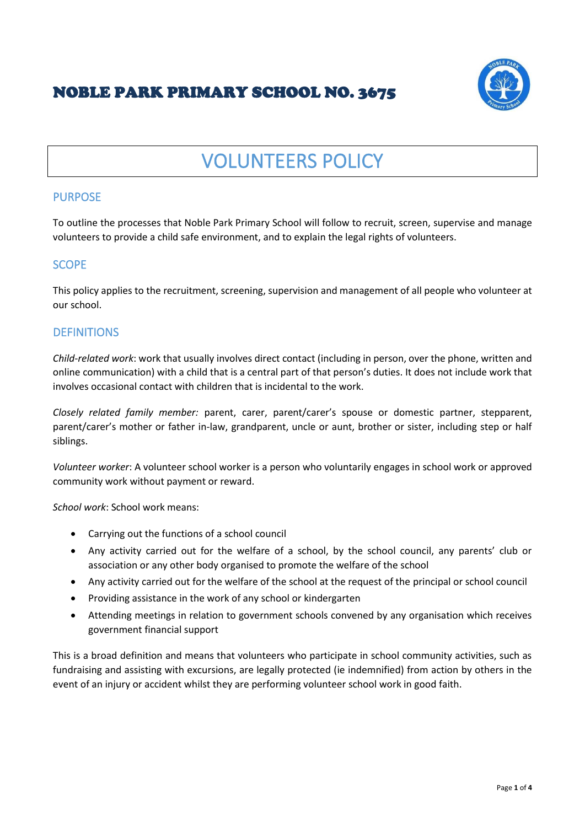# NOBLE PARK PRIMARY SCHOOL NO. 3675



# VOLUNTEERS POLICY

#### PURPOSE

To outline the processes that Noble Park Primary School will follow to recruit, screen, supervise and manage volunteers to provide a child safe environment, and to explain the legal rights of volunteers.

#### **SCOPE**

This policy applies to the recruitment, screening, supervision and management of all people who volunteer at our school.

#### **DEFINITIONS**

*Child-related work*: work that usually involves direct contact (including in person, over the phone, written and online communication) with a child that is a central part of that person's duties. It does not include work that involves occasional contact with children that is incidental to the work.

*Closely related family member:* parent, carer, parent/carer's spouse or domestic partner, stepparent, parent/carer's mother or father in-law, grandparent, uncle or aunt, brother or sister, including step or half siblings.

*Volunteer worker*: A volunteer school worker is a person who voluntarily engages in school work or approved community work without payment or reward.

*School work*: School work means:

- Carrying out the functions of a school council
- Any activity carried out for the welfare of a school, by the school council, any parents' club or association or any other body organised to promote the welfare of the school
- Any activity carried out for the welfare of the school at the request of the principal or school council
- Providing assistance in the work of any school or kindergarten
- Attending meetings in relation to government schools convened by any organisation which receives government financial support

This is a broad definition and means that volunteers who participate in school community activities, such as fundraising and assisting with excursions, are legally protected (ie indemnified) from action by others in the event of an injury or accident whilst they are performing volunteer school work in good faith.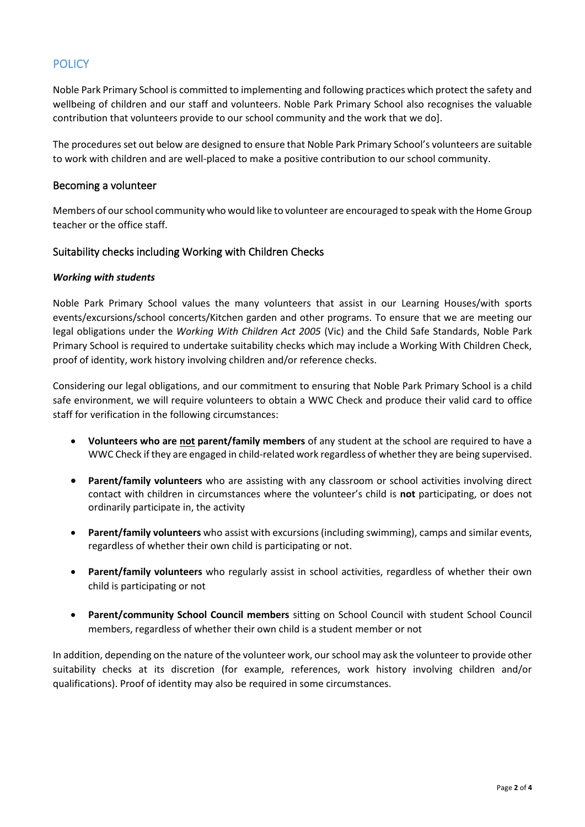# **POLICY**

Noble Park Primary School is committed to implementing and following practices which protect the safety and wellbeing of children and our staff and volunteers. Noble Park Primary School also recognises the valuable contribution that volunteers provide to our school community and the work that we do].

The procedures set out below are designed to ensure that Noble Park Primary School's volunteers are suitable to work with children and are well-placed to make a positive contribution to our school community.

#### Becoming a volunteer

Members of our school community who would like to volunteer are encouraged to speak with the Home Group teacher or the office staff.

#### Suitability checks including Working with Children Checks

#### *Working with students*

Noble Park Primary School values the many volunteers that assist in our Learning Houses/with sports events/excursions/school concerts/Kitchen garden and other programs. To ensure that we are meeting our legal obligations under the *Working With Children Act 2005* (Vic) and the Child Safe Standards, Noble Park Primary School is required to undertake suitability checks which may include a Working With Children Check, proof of identity, work history involving children and/or reference checks.

Considering our legal obligations, and our commitment to ensuring that Noble Park Primary School is a child safe environment, we will require volunteers to obtain a WWC Check and produce their valid card to office staff for verification in the following circumstances:

- **Volunteers who are not parent/family members** of any student at the school are required to have a WWC Check if they are engaged in child-related work regardless of whether they are being supervised.
- **Parent/family volunteers** who are assisting with any classroom or school activities involving direct contact with children in circumstances where the volunteer's child is **not** participating, or does not ordinarily participate in, the activity
- **Parent/family volunteers** who assist with excursions (including swimming), camps and similar events, regardless of whether their own child is participating or not.
- **Parent/family volunteers** who regularly assist in school activities, regardless of whether their own child is participating or not
- **Parent/community School Council members** sitting on School Council with student School Council members, regardless of whether their own child is a student member or not

In addition, depending on the nature of the volunteer work, our school may ask the volunteer to provide other suitability checks at its discretion (for example, references, work history involving children and/or qualifications). Proof of identity may also be required in some circumstances.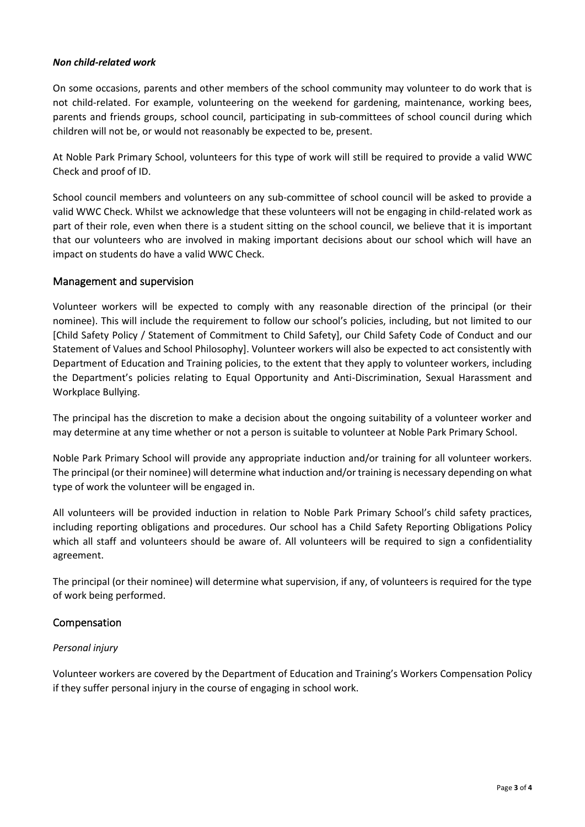#### *Non child-related work*

On some occasions, parents and other members of the school community may volunteer to do work that is not child-related. For example, volunteering on the weekend for gardening, maintenance, working bees, parents and friends groups, school council, participating in sub-committees of school council during which children will not be, or would not reasonably be expected to be, present.

At Noble Park Primary School, volunteers for this type of work will still be required to provide a valid WWC Check and proof of ID.

School council members and volunteers on any sub-committee of school council will be asked to provide a valid WWC Check. Whilst we acknowledge that these volunteers will not be engaging in child-related work as part of their role, even when there is a student sitting on the school council, we believe that it is important that our volunteers who are involved in making important decisions about our school which will have an impact on students do have a valid WWC Check.

#### Management and supervision

Volunteer workers will be expected to comply with any reasonable direction of the principal (or their nominee). This will include the requirement to follow our school's policies, including, but not limited to our [Child Safety Policy / Statement of Commitment to Child Safety], our Child Safety Code of Conduct and our Statement of Values and School Philosophy]. Volunteer workers will also be expected to act consistently with Department of Education and Training policies, to the extent that they apply to volunteer workers, including the Department's policies relating to Equal Opportunity and Anti-Discrimination, Sexual Harassment and Workplace Bullying.

The principal has the discretion to make a decision about the ongoing suitability of a volunteer worker and may determine at any time whether or not a person is suitable to volunteer at Noble Park Primary School.

Noble Park Primary School will provide any appropriate induction and/or training for all volunteer workers. The principal (or their nominee) will determine what induction and/ortraining is necessary depending on what type of work the volunteer will be engaged in.

All volunteers will be provided induction in relation to Noble Park Primary School's child safety practices, including reporting obligations and procedures. Our school has a Child Safety Reporting Obligations Policy which all staff and volunteers should be aware of. All volunteers will be required to sign a confidentiality agreement.

The principal (or their nominee) will determine what supervision, if any, of volunteers is required for the type of work being performed.

#### Compensation

#### *Personal injury*

Volunteer workers are covered by the Department of Education and Training's Workers Compensation Policy if they suffer personal injury in the course of engaging in school work.